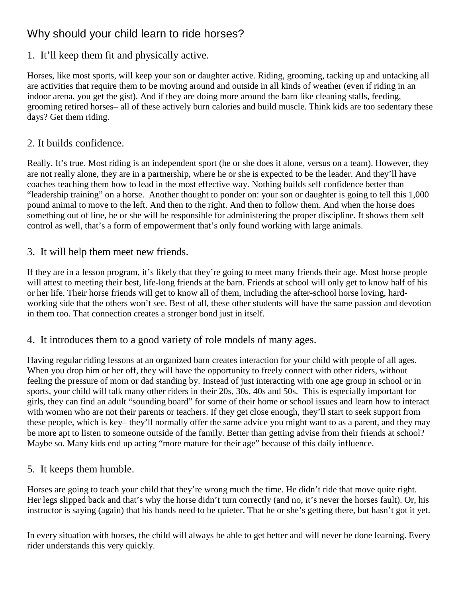# Why should your child learn to ride horses?

## 1. It'll keep them fit and physically active.

Horses, like most sports, will keep your son or daughter active. Riding, grooming, tacking up and untacking all are activities that require them to be moving around and outside in all kinds of weather (even if riding in an indoor arena, you get the gist). And if they are doing more around the barn like cleaning stalls, feeding, grooming retired horses– all of these actively burn calories and build muscle. Think kids are too sedentary these days? Get them riding.

## 2. It builds confidence.

Really. It's true. Most riding is an independent sport (he or she does it alone, versus on a team). However, they are not really alone, they are in a partnership, where he or she is expected to be the leader. And they'll have coaches teaching them how to lead in the most effective way. Nothing builds self confidence better than "leadership training" on a horse. Another thought to ponder on: your son or daughter is going to tell this 1,000 pound animal to move to the left. And then to the right. And then to follow them. And when the horse does something out of line, he or she will be responsible for administering the proper discipline. It shows them self control as well, that's a form of empowerment that's only found working with large animals.

## 3. It will help them meet new friends.

If they are in a lesson program, it's likely that they're going to meet many friends their age. Most horse people will attest to meeting their best, life-long friends at the barn. Friends at school will only get to know half of his or her life. Their horse friends will get to know all of them, including the after-school horse loving, hardworking side that the others won't see. Best of all, these other students will have the same passion and devotion in them too. That connection creates a stronger bond just in itself.

### 4. It introduces them to a good variety of role models of many ages.

Having regular riding lessons at an organized barn creates interaction for your child with people of all ages. When you drop him or her off, they will have the opportunity to freely connect with other riders, without feeling the pressure of mom or dad standing by. Instead of just interacting with one age group in school or in sports, your child will talk many other riders in their 20s, 30s, 40s and 50s. This is especially important for girls, they can find an adult "sounding board" for some of their home or school issues and learn how to interact with women who are not their parents or teachers. If they get close enough, they'll start to seek support from these people, which is key– they'll normally offer the same advice you might want to as a parent, and they may be more apt to listen to someone outside of the family. Better than getting advise from their friends at school? Maybe so. Many kids end up acting "more mature for their age" because of this daily influence.

### 5. It keeps them humble.

Horses are going to teach your child that they're wrong much the time. He didn't ride that move quite right. Her legs slipped back and that's why the horse didn't turn correctly (and no, it's never the horses fault). Or, his instructor is saying (again) that his hands need to be quieter. That he or she's getting there, but hasn't got it yet.

In every situation with horses, the child will always be able to get better and will never be done learning. Every rider understands this very quickly.